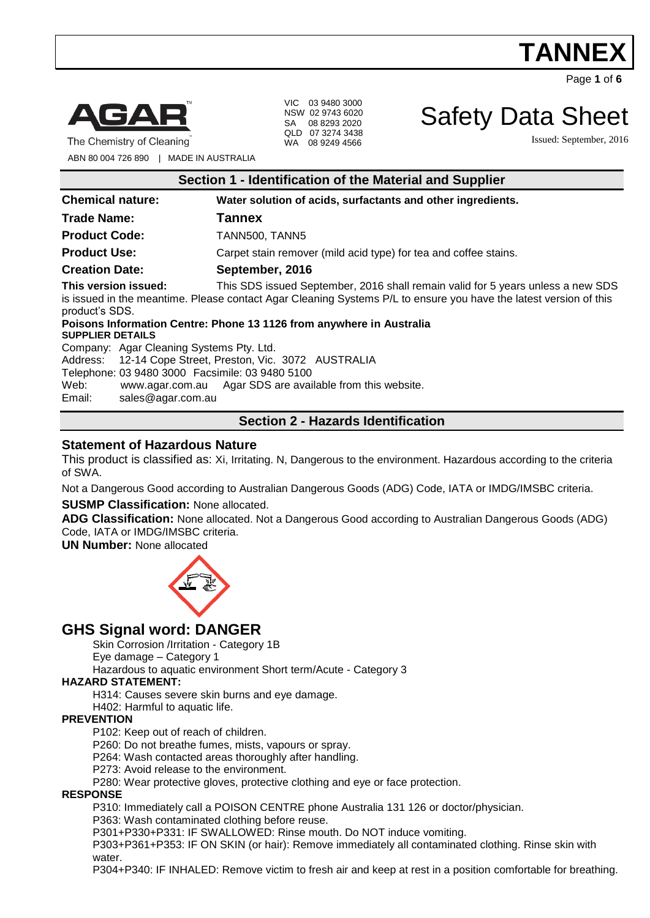Page **1** of **6**



The Chemistry of Cleaning

VIC 03 9480 3000 NSW 02 9743 6020 SA 08 8293 2020 QLD 07 3274 3438 WA 08 9249 4566

Safety Data Sheet

Issued: September, 2016

ABN 80 004 726 890 | MADE IN AUSTRALIA

| Section 1 - Identification of the Material and Supplier |                                                                                                                                                                                                      |  |
|---------------------------------------------------------|------------------------------------------------------------------------------------------------------------------------------------------------------------------------------------------------------|--|
| <b>Chemical nature:</b>                                 | Water solution of acids, surfactants and other ingredients.                                                                                                                                          |  |
| <b>Trade Name:</b>                                      | <b>Tannex</b>                                                                                                                                                                                        |  |
| <b>Product Code:</b>                                    | TANN500, TANN5                                                                                                                                                                                       |  |
| <b>Product Use:</b>                                     | Carpet stain remover (mild acid type) for tea and coffee stains.                                                                                                                                     |  |
| <b>Creation Date:</b>                                   | September, 2016                                                                                                                                                                                      |  |
| This version issued:<br>product's SDS.                  | This SDS issued September, 2016 shall remain valid for 5 years unless a new SDS<br>is issued in the meantime. Please contact Agar Cleaning Systems P/L to ensure you have the latest version of this |  |
| <b>SUPPLIER DETAILS</b>                                 | Poisons Information Centre: Phone 13 1126 from anywhere in Australia                                                                                                                                 |  |
| Company: Agar Cleaning Systems Pty. Ltd.                |                                                                                                                                                                                                      |  |
|                                                         | Address: 12-14 Cope Street, Preston, Vic. 3072 AUSTRALIA                                                                                                                                             |  |
| Telephone: 03 9480 3000 Facsimile: 03 9480 5100         |                                                                                                                                                                                                      |  |
| Web:                                                    | www.agar.com.au Agar SDS are available from this website.                                                                                                                                            |  |
| sales@agar.com.au<br>Email:                             |                                                                                                                                                                                                      |  |

# **Section 2 - Hazards Identification**

## **Statement of Hazardous Nature**

This product is classified as: Xi, Irritating. N, Dangerous to the environment. Hazardous according to the criteria of SWA.

Not a Dangerous Good according to Australian Dangerous Goods (ADG) Code, IATA or IMDG/IMSBC criteria.

### **SUSMP Classification:** None allocated.

**ADG Classification:** None allocated. Not a Dangerous Good according to Australian Dangerous Goods (ADG) Code, IATA or IMDG/IMSBC criteria.

**UN Number:** None allocated



# **GHS Signal word: DANGER**

Skin Corrosion /Irritation - Category 1B

Eye damage – Category 1

Hazardous to aquatic environment Short term/Acute - Category 3

### **HAZARD STATEMENT:**

H314: Causes severe skin burns and eye damage.

H402: Harmful to aquatic life.

#### **PREVENTION**

P102: Keep out of reach of children.

P260: Do not breathe fumes, mists, vapours or spray.

P264: Wash contacted areas thoroughly after handling.

P273: Avoid release to the environment.

P280: Wear protective gloves, protective clothing and eye or face protection.

#### **RESPONSE**

P310: Immediately call a POISON CENTRE phone Australia 131 126 or doctor/physician.

P363: Wash contaminated clothing before reuse.

P301+P330+P331: IF SWALLOWED: Rinse mouth. Do NOT induce vomiting.

P303+P361+P353: IF ON SKIN (or hair): Remove immediately all contaminated clothing. Rinse skin with water.

P304+P340: IF INHALED: Remove victim to fresh air and keep at rest in a position comfortable for breathing.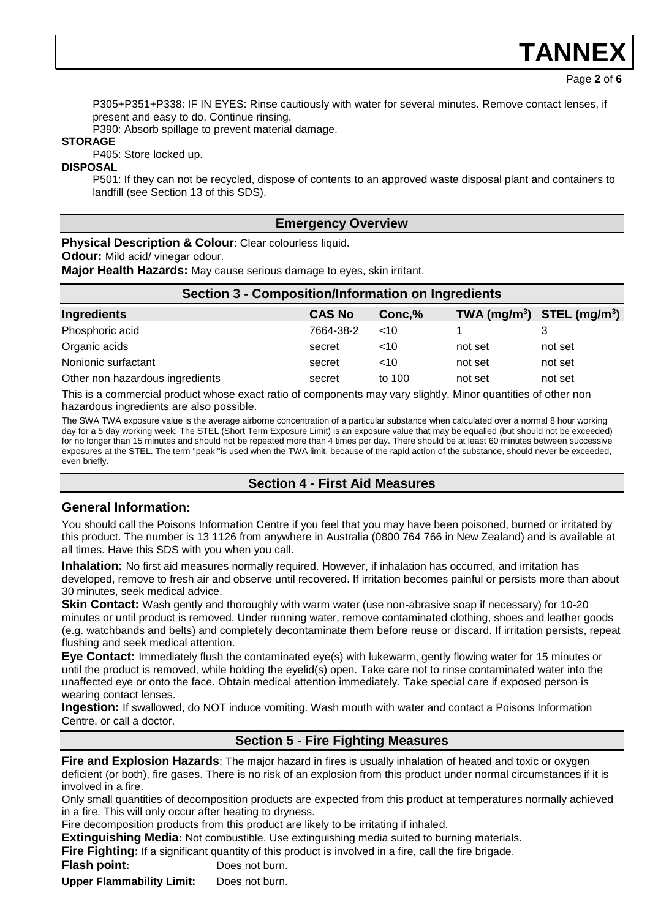Page **2** of **6**

P305+P351+P338: IF IN EYES: Rinse cautiously with water for several minutes. Remove contact lenses, if present and easy to do. Continue rinsing.

P390: Absorb spillage to prevent material damage.

### **STORAGE**

P405: Store locked up.

#### **DISPOSAL**

P501: If they can not be recycled, dispose of contents to an approved waste disposal plant and containers to landfill (see Section 13 of this SDS).

## **Emergency Overview**

**Physical Description & Colour**: Clear colourless liquid.

**Odour:** Mild acid/ vinegar odour.

**Major Health Hazards:** May cause serious damage to eyes, skin irritant.

| <b>Section 3 - Composition/Information on Ingredients</b> |               |        |         |                              |  |
|-----------------------------------------------------------|---------------|--------|---------|------------------------------|--|
| <b>Ingredients</b>                                        | <b>CAS No</b> | Conc,% |         | $TWA (mg/m3)$ STEL $(mg/m3)$ |  |
| Phosphoric acid                                           | 7664-38-2     | ~10    |         |                              |  |
| Organic acids                                             | secret        | ~10    | not set | not set                      |  |
| Nonionic surfactant                                       | secret        | ~10    | not set | not set                      |  |
| Other non hazardous ingredients                           | secret        | to 100 | not set | not set                      |  |

This is a commercial product whose exact ratio of components may vary slightly. Minor quantities of other non hazardous ingredients are also possible.

The SWA TWA exposure value is the average airborne concentration of a particular substance when calculated over a normal 8 hour working day for a 5 day working week. The STEL (Short Term Exposure Limit) is an exposure value that may be equalled (but should not be exceeded) for no longer than 15 minutes and should not be repeated more than 4 times per day. There should be at least 60 minutes between successive exposures at the STEL. The term "peak "is used when the TWA limit, because of the rapid action of the substance, should never be exceeded, even briefly.

# **Section 4 - First Aid Measures**

## **General Information:**

You should call the Poisons Information Centre if you feel that you may have been poisoned, burned or irritated by this product. The number is 13 1126 from anywhere in Australia (0800 764 766 in New Zealand) and is available at all times. Have this SDS with you when you call.

**Inhalation:** No first aid measures normally required. However, if inhalation has occurred, and irritation has developed, remove to fresh air and observe until recovered. If irritation becomes painful or persists more than about 30 minutes, seek medical advice.

**Skin Contact:** Wash gently and thoroughly with warm water (use non-abrasive soap if necessary) for 10-20 minutes or until product is removed. Under running water, remove contaminated clothing, shoes and leather goods (e.g. watchbands and belts) and completely decontaminate them before reuse or discard. If irritation persists, repeat flushing and seek medical attention.

**Eye Contact:** Immediately flush the contaminated eye(s) with lukewarm, gently flowing water for 15 minutes or until the product is removed, while holding the eyelid(s) open. Take care not to rinse contaminated water into the unaffected eye or onto the face. Obtain medical attention immediately. Take special care if exposed person is wearing contact lenses.

**Ingestion:** If swallowed, do NOT induce vomiting. Wash mouth with water and contact a Poisons Information Centre, or call a doctor.

# **Section 5 - Fire Fighting Measures**

**Fire and Explosion Hazards**: The major hazard in fires is usually inhalation of heated and toxic or oxygen deficient (or both), fire gases. There is no risk of an explosion from this product under normal circumstances if it is involved in a fire.

Only small quantities of decomposition products are expected from this product at temperatures normally achieved in a fire. This will only occur after heating to dryness.

Fire decomposition products from this product are likely to be irritating if inhaled.

**Extinguishing Media:** Not combustible. Use extinguishing media suited to burning materials.

**Fire Fighting:** If a significant quantity of this product is involved in a fire, call the fire brigade.

**Flash point:** Does not burn.

**Upper Flammability Limit:** Does not burn.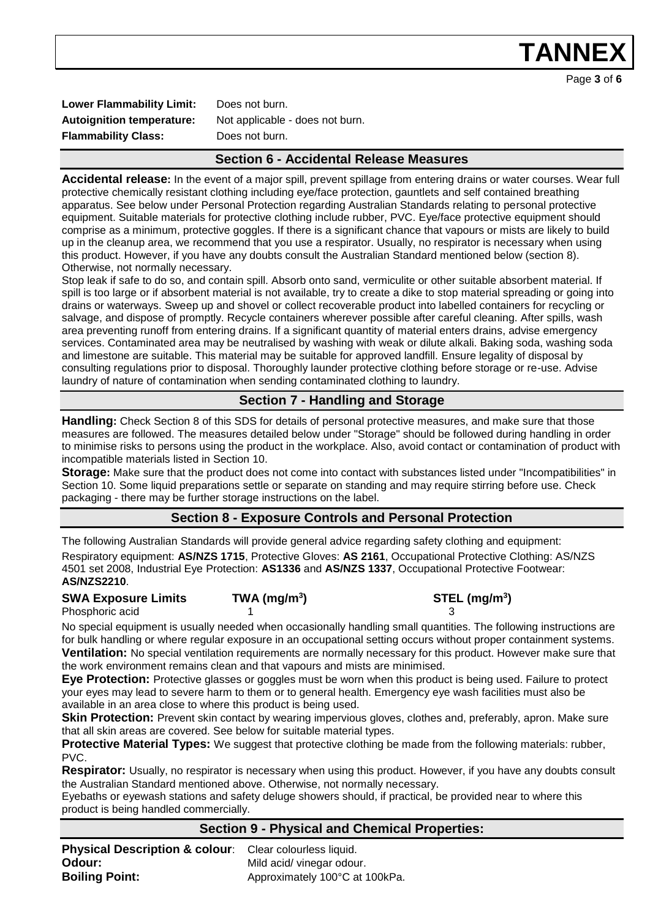Page **3** of **6**

Lower Flammability Limit: Does not burn. **Flammability Class:** Does not burn.

**Autoignition temperature:** Not applicable - does not burn.

# **Section 6 - Accidental Release Measures**

**Accidental release:** In the event of a major spill, prevent spillage from entering drains or water courses. Wear full protective chemically resistant clothing including eye/face protection, gauntlets and self contained breathing apparatus. See below under Personal Protection regarding Australian Standards relating to personal protective equipment. Suitable materials for protective clothing include rubber, PVC. Eye/face protective equipment should comprise as a minimum, protective goggles. If there is a significant chance that vapours or mists are likely to build up in the cleanup area, we recommend that you use a respirator. Usually, no respirator is necessary when using this product. However, if you have any doubts consult the Australian Standard mentioned below (section 8). Otherwise, not normally necessary.

Stop leak if safe to do so, and contain spill. Absorb onto sand, vermiculite or other suitable absorbent material. If spill is too large or if absorbent material is not available, try to create a dike to stop material spreading or going into drains or waterways. Sweep up and shovel or collect recoverable product into labelled containers for recycling or salvage, and dispose of promptly. Recycle containers wherever possible after careful cleaning. After spills, wash area preventing runoff from entering drains. If a significant quantity of material enters drains, advise emergency services. Contaminated area may be neutralised by washing with weak or dilute alkali. Baking soda, washing soda and limestone are suitable. This material may be suitable for approved landfill. Ensure legality of disposal by consulting regulations prior to disposal. Thoroughly launder protective clothing before storage or re-use. Advise laundry of nature of contamination when sending contaminated clothing to laundry.

# **Section 7 - Handling and Storage**

**Handling:** Check Section 8 of this SDS for details of personal protective measures, and make sure that those measures are followed. The measures detailed below under "Storage" should be followed during handling in order to minimise risks to persons using the product in the workplace. Also, avoid contact or contamination of product with incompatible materials listed in Section 10.

**Storage:** Make sure that the product does not come into contact with substances listed under "Incompatibilities" in Section 10. Some liquid preparations settle or separate on standing and may require stirring before use. Check packaging - there may be further storage instructions on the label.

# **Section 8 - Exposure Controls and Personal Protection**

The following Australian Standards will provide general advice regarding safety clothing and equipment: Respiratory equipment: **AS/NZS 1715**, Protective Gloves: **AS 2161**, Occupational Protective Clothing: AS/NZS 4501 set 2008, Industrial Eye Protection: **AS1336** and **AS/NZS 1337**, Occupational Protective Footwear: **AS/NZS2210**.

**SWA Exposure Limits TWA (mg/m<sup>3</sup>**

Phosphoric acid

**) STEL (mg/m<sup>3</sup> )**

No special equipment is usually needed when occasionally handling small quantities. The following instructions are for bulk handling or where regular exposure in an occupational setting occurs without proper containment systems. **Ventilation:** No special ventilation requirements are normally necessary for this product. However make sure that the work environment remains clean and that vapours and mists are minimised.

**Eye Protection:** Protective glasses or goggles must be worn when this product is being used. Failure to protect your eyes may lead to severe harm to them or to general health. Emergency eye wash facilities must also be available in an area close to where this product is being used.

**Skin Protection:** Prevent skin contact by wearing impervious gloves, clothes and, preferably, apron. Make sure that all skin areas are covered. See below for suitable material types.

**Protective Material Types:** We suggest that protective clothing be made from the following materials: rubber, PVC.

**Respirator:** Usually, no respirator is necessary when using this product. However, if you have any doubts consult the Australian Standard mentioned above. Otherwise, not normally necessary.

Eyebaths or eyewash stations and safety deluge showers should, if practical, be provided near to where this product is being handled commercially.

## **Section 9 - Physical and Chemical Properties:**

| Physical Description & colour: Clear colourless liquid. |                                |
|---------------------------------------------------------|--------------------------------|
| Odour:                                                  | Mild acid/ vinegar odour.      |
| <b>Boiling Point:</b>                                   | Approximately 100°C at 100kPa. |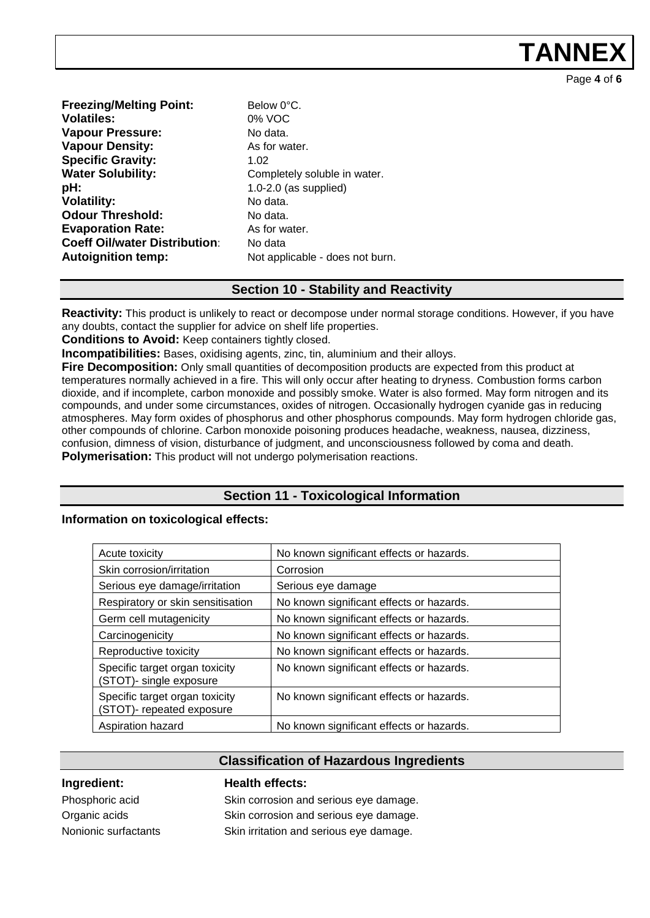Page **4** of **6**

| Below 0°C.      |
|-----------------|
| 0% VOC          |
| No data.        |
| As for wate     |
| 1.02            |
| Completely      |
| $1.0 - 2.0$ (as |
| No data.        |
| No data.        |
| As for wate     |
| No data         |
| Not applica     |
|                 |

or water. **npletely soluble in water. pH:** 1.0-2.0 (as supplied) or water. applicable - does not burn.

## **Section 10 - Stability and Reactivity**

**Reactivity:** This product is unlikely to react or decompose under normal storage conditions. However, if you have any doubts, contact the supplier for advice on shelf life properties.

**Conditions to Avoid:** Keep containers tightly closed.

**Incompatibilities:** Bases, oxidising agents, zinc, tin, aluminium and their alloys.

**Fire Decomposition:** Only small quantities of decomposition products are expected from this product at temperatures normally achieved in a fire. This will only occur after heating to dryness. Combustion forms carbon dioxide, and if incomplete, carbon monoxide and possibly smoke. Water is also formed. May form nitrogen and its compounds, and under some circumstances, oxides of nitrogen. Occasionally hydrogen cyanide gas in reducing atmospheres. May form oxides of phosphorus and other phosphorus compounds. May form hydrogen chloride gas, other compounds of chlorine. Carbon monoxide poisoning produces headache, weakness, nausea, dizziness, confusion, dimness of vision, disturbance of judgment, and unconsciousness followed by coma and death. **Polymerisation:** This product will not undergo polymerisation reactions.

# **Section 11 - Toxicological Information**

### **Information on toxicological effects:**

| Acute toxicity                                              | No known significant effects or hazards. |
|-------------------------------------------------------------|------------------------------------------|
| Skin corrosion/irritation                                   | Corrosion                                |
| Serious eye damage/irritation                               | Serious eye damage                       |
| Respiratory or skin sensitisation                           | No known significant effects or hazards. |
| Germ cell mutagenicity                                      | No known significant effects or hazards. |
| Carcinogenicity                                             | No known significant effects or hazards. |
| Reproductive toxicity                                       | No known significant effects or hazards. |
| Specific target organ toxicity<br>(STOT)- single exposure   | No known significant effects or hazards. |
| Specific target organ toxicity<br>(STOT)- repeated exposure | No known significant effects or hazards. |
| Aspiration hazard                                           | No known significant effects or hazards. |

## **Classification of Hazardous Ingredients**

**Ingredient: Health effects:** 

Phosphoric acid Skin corrosion and serious eye damage. Organic acids Skin corrosion and serious eye damage. Nonionic surfactants Skin irritation and serious eye damage.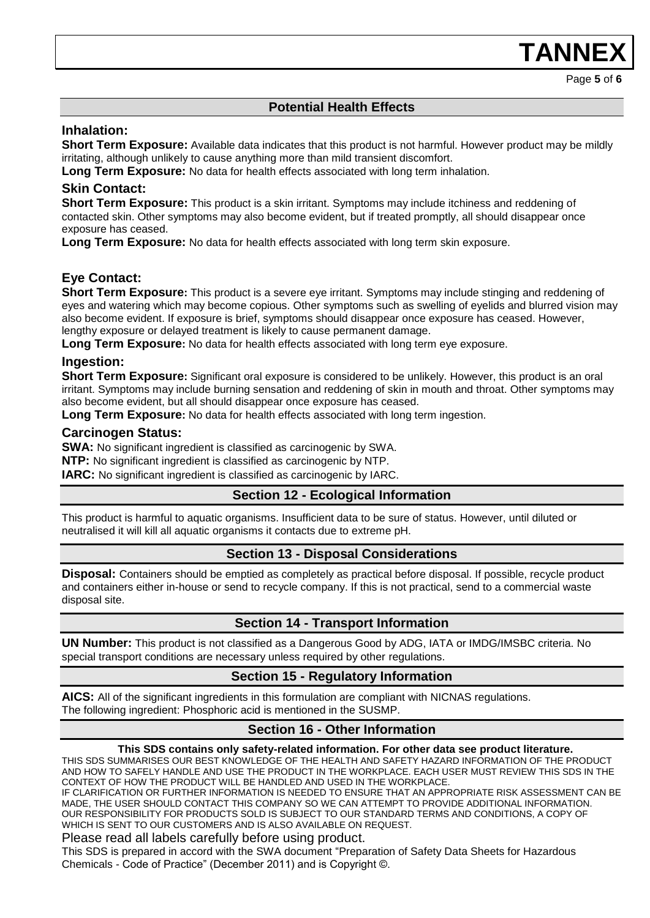Page **5** of **6**

# **Potential Health Effects**

### **Inhalation:**

**Short Term Exposure:** Available data indicates that this product is not harmful. However product may be mildly irritating, although unlikely to cause anything more than mild transient discomfort.

**Long Term Exposure:** No data for health effects associated with long term inhalation.

## **Skin Contact:**

**Short Term Exposure:** This product is a skin irritant. Symptoms may include itchiness and reddening of contacted skin. Other symptoms may also become evident, but if treated promptly, all should disappear once exposure has ceased.

**Long Term Exposure:** No data for health effects associated with long term skin exposure.

# **Eye Contact:**

**Short Term Exposure:** This product is a severe eye irritant. Symptoms may include stinging and reddening of eyes and watering which may become copious. Other symptoms such as swelling of eyelids and blurred vision may also become evident. If exposure is brief, symptoms should disappear once exposure has ceased. However, lengthy exposure or delayed treatment is likely to cause permanent damage.

**Long Term Exposure:** No data for health effects associated with long term eye exposure.

## **Ingestion:**

**Short Term Exposure:** Significant oral exposure is considered to be unlikely. However, this product is an oral irritant. Symptoms may include burning sensation and reddening of skin in mouth and throat. Other symptoms may also become evident, but all should disappear once exposure has ceased.

**Long Term Exposure:** No data for health effects associated with long term ingestion.

## **Carcinogen Status:**

**SWA:** No significant ingredient is classified as carcinogenic by SWA.

**NTP:** No significant ingredient is classified as carcinogenic by NTP.

**IARC:** No significant ingredient is classified as carcinogenic by IARC.

### **Section 12 - Ecological Information**

This product is harmful to aquatic organisms. Insufficient data to be sure of status. However, until diluted or neutralised it will kill all aquatic organisms it contacts due to extreme pH.

### **Section 13 - Disposal Considerations**

**Disposal:** Containers should be emptied as completely as practical before disposal. If possible, recycle product and containers either in-house or send to recycle company. If this is not practical, send to a commercial waste disposal site.

## **Section 14 - Transport Information**

**UN Number:** This product is not classified as a Dangerous Good by ADG, IATA or IMDG/IMSBC criteria. No special transport conditions are necessary unless required by other regulations.

## **Section 15 - Regulatory Information**

**AICS:** All of the significant ingredients in this formulation are compliant with NICNAS regulations. The following ingredient: Phosphoric acid is mentioned in the SUSMP.

## **Section 16 - Other Information**

#### **This SDS contains only safety-related information. For other data see product literature.**

THIS SDS SUMMARISES OUR BEST KNOWLEDGE OF THE HEALTH AND SAFETY HAZARD INFORMATION OF THE PRODUCT AND HOW TO SAFELY HANDLE AND USE THE PRODUCT IN THE WORKPLACE. EACH USER MUST REVIEW THIS SDS IN THE CONTEXT OF HOW THE PRODUCT WILL BE HANDLED AND USED IN THE WORKPLACE.

IF CLARIFICATION OR FURTHER INFORMATION IS NEEDED TO ENSURE THAT AN APPROPRIATE RISK ASSESSMENT CAN BE MADE, THE USER SHOULD CONTACT THIS COMPANY SO WE CAN ATTEMPT TO PROVIDE ADDITIONAL INFORMATION. OUR RESPONSIBILITY FOR PRODUCTS SOLD IS SUBJECT TO OUR STANDARD TERMS AND CONDITIONS, A COPY OF WHICH IS SENT TO OUR CUSTOMERS AND IS ALSO AVAILABLE ON REQUEST.

Please read all labels carefully before using product.

This SDS is prepared in accord with the SWA document "Preparation of Safety Data Sheets for Hazardous Chemicals - Code of Practice" (December 2011) and is Copyright ©.